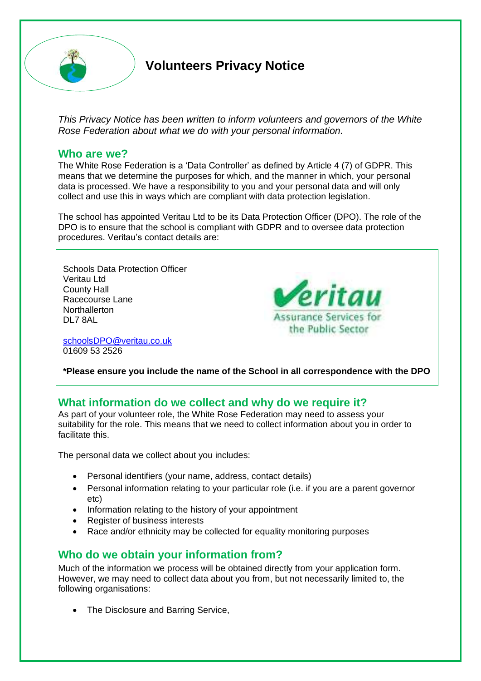

# **Volunteers Privacy Notice**

*This Privacy Notice has been written to inform volunteers and governors of the White Rose Federation about what we do with your personal information.* 

#### **Who are we?**

The White Rose Federation is a 'Data Controller' as defined by Article 4 (7) of GDPR. This means that we determine the purposes for which, and the manner in which, your personal data is processed. We have a responsibility to you and your personal data and will only collect and use this in ways which are compliant with data protection legislation.

The school has appointed Veritau Ltd to be its Data Protection Officer (DPO). The role of the DPO is to ensure that the school is compliant with GDPR and to oversee data protection procedures. Veritau's contact details are:

Schools Data Protection Officer Veritau Ltd County Hall Racecourse Lane **Northallerton** DL7 8AL

[schoolsDPO@veritau.co.uk](mailto:schoolsDPO@veritau.co.uk) 01609 53 2526



**\*Please ensure you include the name of the School in all correspondence with the DPO** 

## **What information do we collect and why do we require it?**

As part of your volunteer role, the White Rose Federation may need to assess your suitability for the role. This means that we need to collect information about you in order to facilitate this.

The personal data we collect about you includes:

- Personal identifiers (your name, address, contact details)
- Personal information relating to your particular role (i.e. if you are a parent governor etc)
- Information relating to the history of your appointment
- Register of business interests
- Race and/or ethnicity may be collected for equality monitoring purposes

## **Who do we obtain your information from?**

Much of the information we process will be obtained directly from your application form. However, we may need to collect data about you from, but not necessarily limited to, the following organisations:

• The Disclosure and Barring Service,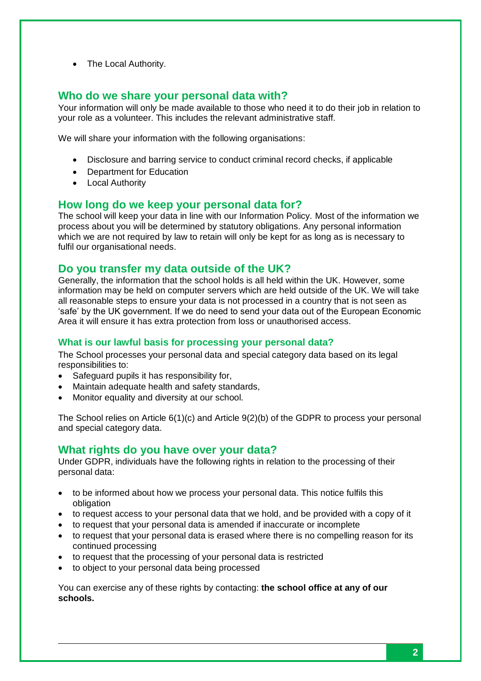• The Local Authority.

## **Who do we share your personal data with?**

Your information will only be made available to those who need it to do their job in relation to your role as a volunteer. This includes the relevant administrative staff.

We will share your information with the following organisations:

- Disclosure and barring service to conduct criminal record checks, if applicable
- Department for Education
- Local Authority

### **How long do we keep your personal data for?**

The school will keep your data in line with our Information Policy. Most of the information we process about you will be determined by statutory obligations. Any personal information which we are not required by law to retain will only be kept for as long as is necessary to fulfil our organisational needs.

## **Do you transfer my data outside of the UK?**

Generally, the information that the school holds is all held within the UK. However, some information may be held on computer servers which are held outside of the UK. We will take all reasonable steps to ensure your data is not processed in a country that is not seen as 'safe' by the UK government. If we do need to send your data out of the European Economic Area it will ensure it has extra protection from loss or unauthorised access.

#### **What is our lawful basis for processing your personal data?**

The School processes your personal data and special category data based on its legal responsibilities to:

- Safeguard pupils it has responsibility for,
- Maintain adequate health and safety standards,
- Monitor equality and diversity at our school.

The School relies on Article 6(1)(c) and Article 9(2)(b) of the GDPR to process your personal and special category data.

## **What rights do you have over your data?**

Under GDPR, individuals have the following rights in relation to the processing of their personal data:

- to be informed about how we process your personal data. This notice fulfils this obligation
- to request access to your personal data that we hold, and be provided with a copy of it
- to request that your personal data is amended if inaccurate or incomplete
- to request that your personal data is erased where there is no compelling reason for its continued processing
- to request that the processing of your personal data is restricted
- to object to your personal data being processed

You can exercise any of these rights by contacting: **the school office at any of our schools.**